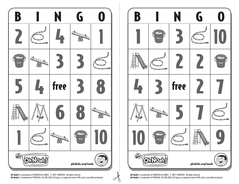

*Oh Noah!* is a production of THIRTEEN for WNET. © 2011 THIRTEEN. All rights reserved. *Oh Noah!* is a trademark of THIRTEEN. The PBS KIDS GO! logo is a registered mark of PBS and is used with permission.

 $\circ$ b



*Oh Noah!* is a production of THIRTEEN for WNET. © 2011 THIRTEEN. All rights reserved. *Oh Noah!* is a trademark of THIRTEEN. The PBS KIDS GO! logo is a registered mark of PBS and is used with permission.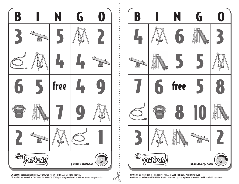

*Oh Noah!* is a production of THIRTEEN for WNET. © 2011 THIRTEEN. All rights reserved. *Oh Noah!* is a trademark of THIRTEEN. The PBS KIDS GO! logo is a registered mark of PBS and is used with permission.

 $\circ$ b



*Oh Noah!* is a production of THIRTEEN for WNET. © 2011 THIRTEEN. All rights reserved. *Oh Noah!* is a trademark of THIRTEEN. The PBS KIDS GO! logo is a registered mark of PBS and is used with permission.